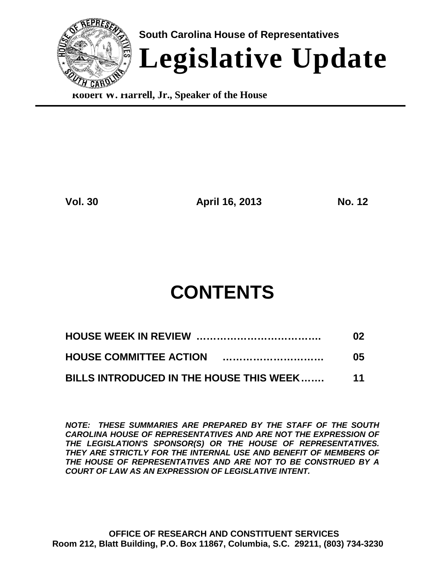

**Robert W. Harrell, Jr., Speaker of the House**

**Vol. 30 April 16, 2013 No. 12**

# **CONTENTS**

|                                         | 02              |
|-----------------------------------------|-----------------|
|                                         | 05              |
| BILLS INTRODUCED IN THE HOUSE THIS WEEK | $\overline{11}$ |

*NOTE: THESE SUMMARIES ARE PREPARED BY THE STAFF OF THE SOUTH CAROLINA HOUSE OF REPRESENTATIVES AND ARE NOT THE EXPRESSION OF THE LEGISLATION'S SPONSOR(S) OR THE HOUSE OF REPRESENTATIVES. THEY ARE STRICTLY FOR THE INTERNAL USE AND BENEFIT OF MEMBERS OF THE HOUSE OF REPRESENTATIVES AND ARE NOT TO BE CONSTRUED BY A COURT OF LAW AS AN EXPRESSION OF LEGISLATIVE INTENT.*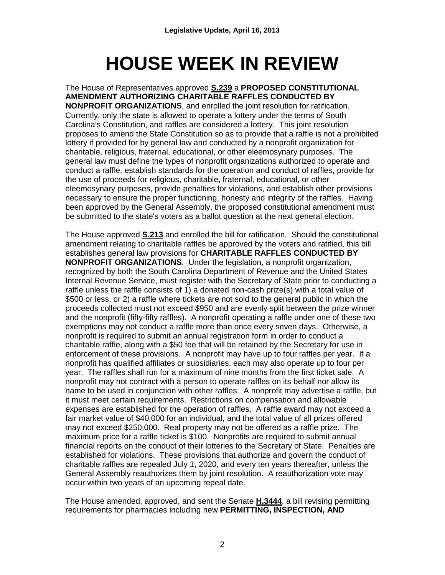# **HOUSE WEEK IN REVIEW**

The House of Representatives approved **S.239** a **PROPOSED CONSTITUTIONAL AMENDMENT AUTHORIZING CHARITABLE RAFFLES CONDUCTED BY NONPROFIT ORGANIZATIONS**, and enrolled the joint resolution for ratification. Currently, only the state is allowed to operate a lottery under the terms of South Carolina's Constitution, and raffles are considered a lottery. This joint resolution proposes to amend the State Constitution so as to provide that a raffle is not a prohibited lottery if provided for by general law and conducted by a nonprofit organization for charitable, religious, fraternal, educational, or other eleemosynary purposes. The general law must define the types of nonprofit organizations authorized to operate and conduct a raffle, establish standards for the operation and conduct of raffles, provide for the use of proceeds for religious, charitable, fraternal, educational, or other eleemosynary purposes, provide penalties for violations, and establish other provisions necessary to ensure the proper functioning, honesty and integrity of the raffles. Having been approved by the General Assembly, the proposed constitutional amendment must be submitted to the state's voters as a ballot question at the next general election.

The House approved **S.213** and enrolled the bill for ratification. Should the constitutional amendment relating to charitable raffles be approved by the voters and ratified, this bill establishes general law provisions for **CHARITABLE RAFFLES CONDUCTED BY NONPROFIT ORGANIZATIONS**. Under the legislation, a nonprofit organization, recognized by both the South Carolina Department of Revenue and the United States Internal Revenue Service, must register with the Secretary of State prior to conducting a raffle unless the raffle consists of 1) a donated non-cash prize(s) with a total value of \$500 or less, or 2) a raffle where tickets are not sold to the general public in which the proceeds collected must not exceed \$950 and are evenly split between the prize winner and the nonprofit (fifty-fifty raffles). A nonprofit operating a raffle under one of these two exemptions may not conduct a raffle more than once every seven days. Otherwise, a nonprofit is required to submit an annual registration form in order to conduct a charitable raffle, along with a \$50 fee that will be retained by the Secretary for use in enforcement of these provisions. A nonprofit may have up to four raffles per year. If a nonprofit has qualified affiliates or subsidiaries, each may also operate up to four per year. The raffles shall run for a maximum of nine months from the first ticket sale. A nonprofit may not contract with a person to operate raffles on its behalf nor allow its name to be used in conjunction with other raffles. A nonprofit may advertise a raffle, but it must meet certain requirements. Restrictions on compensation and allowable expenses are established for the operation of raffles. A raffle award may not exceed a fair market value of \$40,000 for an individual, and the total value of all prizes offered may not exceed \$250,000. Real property may not be offered as a raffle prize. The maximum price for a raffle ticket is \$100. Nonprofits are required to submit annual financial reports on the conduct of their lotteries to the Secretary of State. Penalties are established for violations. These provisions that authorize and govern the conduct of charitable raffles are repealed July 1, 2020, and every ten years thereafter, unless the General Assembly reauthorizes them by joint resolution. A reauthorization vote may occur within two years of an upcoming repeal date.

The House amended, approved, and sent the Senate **H.3444**, a bill revising permitting requirements for pharmacies including new **PERMITTING, INSPECTION, AND**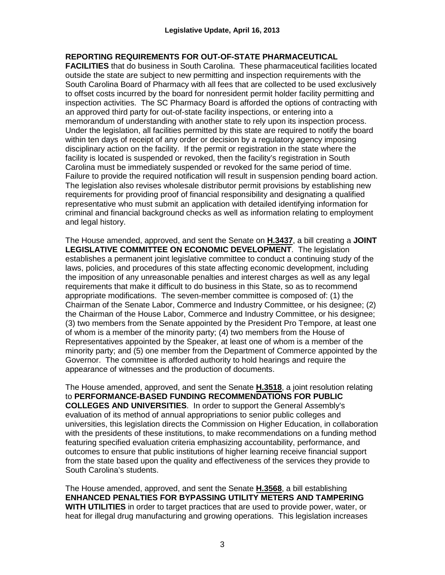#### **REPORTING REQUIREMENTS FOR OUT-OF-STATE PHARMACEUTICAL**

**FACILITIES** that do business in South Carolina. These pharmaceutical facilities located outside the state are subject to new permitting and inspection requirements with the South Carolina Board of Pharmacy with all fees that are collected to be used exclusively to offset costs incurred by the board for nonresident permit holder facility permitting and inspection activities. The SC Pharmacy Board is afforded the options of contracting with an approved third party for out-of-state facility inspections, or entering into a memorandum of understanding with another state to rely upon its inspection process. Under the legislation, all facilities permitted by this state are required to notify the board within ten days of receipt of any order or decision by a regulatory agency imposing disciplinary action on the facility. If the permit or registration in the state where the facility is located is suspended or revoked, then the facility's registration in South Carolina must be immediately suspended or revoked for the same period of time. Failure to provide the required notification will result in suspension pending board action. The legislation also revises wholesale distributor permit provisions by establishing new requirements for providing proof of financial responsibility and designating a qualified representative who must submit an application with detailed identifying information for criminal and financial background checks as well as information relating to employment and legal history.

The House amended, approved, and sent the Senate on **H.3437**, a bill creating a **JOINT LEGISLATIVE COMMITTEE ON ECONOMIC DEVELOPMENT**. The legislation establishes a permanent joint legislative committee to conduct a continuing study of the laws, policies, and procedures of this state affecting economic development, including the imposition of any unreasonable penalties and interest charges as well as any legal requirements that make it difficult to do business in this State, so as to recommend appropriate modifications. The seven-member committee is composed of: (1) the Chairman of the Senate Labor, Commerce and Industry Committee, or his designee; (2) the Chairman of the House Labor, Commerce and Industry Committee, or his designee; (3) two members from the Senate appointed by the President Pro Tempore, at least one of whom is a member of the minority party; (4) two members from the House of Representatives appointed by the Speaker, at least one of whom is a member of the minority party; and (5) one member from the Department of Commerce appointed by the Governor. The committee is afforded authority to hold hearings and require the appearance of witnesses and the production of documents.

The House amended, approved, and sent the Senate **H.3518**, a joint resolution relating to **PERFORMANCE-BASED FUNDING RECOMMENDATIONS FOR PUBLIC COLLEGES AND UNIVERSITIES**. In order to support the General Assembly's evaluation of its method of annual appropriations to senior public colleges and universities, this legislation directs the Commission on Higher Education, in collaboration with the presidents of these institutions, to make recommendations on a funding method featuring specified evaluation criteria emphasizing accountability, performance, and outcomes to ensure that public institutions of higher learning receive financial support from the state based upon the quality and effectiveness of the services they provide to South Carolina's students.

The House amended, approved, and sent the Senate **H.3568**, a bill establishing **ENHANCED PENALTIES FOR BYPASSING UTILITY METERS AND TAMPERING WITH UTILITIES** in order to target practices that are used to provide power, water, or heat for illegal drug manufacturing and growing operations. This legislation increases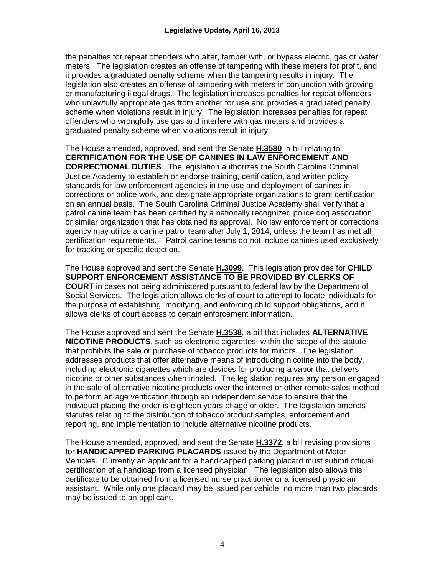the penalties for repeat offenders who alter, tamper with, or bypass electric, gas or water meters. The legislation creates an offense of tampering with these meters for profit, and it provides a graduated penalty scheme when the tampering results in injury. The legislation also creates an offense of tampering with meters in conjunction with growing or manufacturing illegal drugs. The legislation increases penalties for repeat offenders who unlawfully appropriate gas from another for use and provides a graduated penalty scheme when violations result in injury. The legislation increases penalties for repeat offenders who wrongfully use gas and interfere with gas meters and provides a graduated penalty scheme when violations result in injury.

The House amended, approved, and sent the Senate **H.3580**, a bill relating to **CERTIFICATION FOR THE USE OF CANINES IN LAW ENFORCEMENT AND CORRECTIONAL DUTIES**. The legislation authorizes the South Carolina Criminal Justice Academy to establish or endorse training, certification, and written policy standards for law enforcement agencies in the use and deployment of canines in corrections or police work, and designate appropriate organizations to grant certification on an annual basis. The South Carolina Criminal Justice Academy shall verify that a patrol canine team has been certified by a nationally recognized police dog association or similar organization that has obtained its approval. No law enforcement or corrections agency may utilize a canine patrol team after July 1, 2014, unless the team has met all certification requirements. Patrol canine teams do not include canines used exclusively for tracking or specific detection.

The House approved and sent the Senate **H.3099**. This legislation provides for **CHILD SUPPORT ENFORCEMENT ASSISTANCE TO BE PROVIDED BY CLERKS OF COURT** in cases not being administered pursuant to federal law by the Department of Social Services. The legislation allows clerks of court to attempt to locate individuals for the purpose of establishing, modifying, and enforcing child support obligations, and it allows clerks of court access to certain enforcement information.

The House approved and sent the Senate **H.3538**, a bill that includes **ALTERNATIVE NICOTINE PRODUCTS**, such as electronic cigarettes, within the scope of the statute that prohibits the sale or purchase of tobacco products for minors. The legislation addresses products that offer alternative means of introducing nicotine into the body, including electronic cigarettes which are devices for producing a vapor that delivers nicotine or other substances when inhaled. The legislation requires any person engaged in the sale of alternative nicotine products over the internet or other remote sales method to perform an age verification through an independent service to ensure that the individual placing the order is eighteen years of age or older. The legislation amends statutes relating to the distribution of tobacco product samples, enforcement and reporting, and implementation to include alternative nicotine products.

The House amended, approved, and sent the Senate **H.3372**, a bill revising provisions for **HANDICAPPED PARKING PLACARDS** issued by the Department of Motor Vehicles. Currently an applicant for a handicapped parking placard must submit official certification of a handicap from a licensed physician. The legislation also allows this certificate to be obtained from a licensed nurse practitioner or a licensed physician assistant. While only one placard may be issued per vehicle, no more than two placards may be issued to an applicant.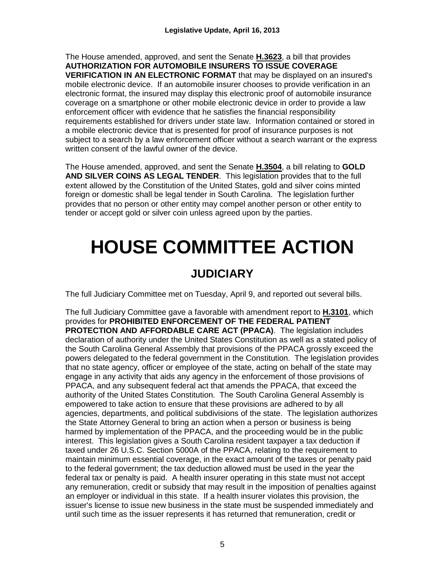The House amended, approved, and sent the Senate **H.3623**, a bill that provides **AUTHORIZATION FOR AUTOMOBILE INSURERS TO ISSUE COVERAGE VERIFICATION IN AN ELECTRONIC FORMAT** that may be displayed on an insured's mobile electronic device. If an automobile insurer chooses to provide verification in an electronic format, the insured may display this electronic proof of automobile insurance coverage on a smartphone or other mobile electronic device in order to provide a law enforcement officer with evidence that he satisfies the financial responsibility requirements established for drivers under state law. Information contained or stored in a mobile electronic device that is presented for proof of insurance purposes is not subject to a search by a law enforcement officer without a search warrant or the express written consent of the lawful owner of the device.

The House amended, approved, and sent the Senate **H.3504**, a bill relating to **GOLD AND SILVER COINS AS LEGAL TENDER**. This legislation provides that to the full extent allowed by the Constitution of the United States, gold and silver coins minted foreign or domestic shall be legal tender in South Carolina. The legislation further provides that no person or other entity may compel another person or other entity to tender or accept gold or silver coin unless agreed upon by the parties.

# **HOUSE COMMITTEE ACTION**

### **JUDICIARY**

The full Judiciary Committee met on Tuesday, April 9, and reported out several bills.

The full Judiciary Committee gave a favorable with amendment report to **H.3101**, which provides for **PROHIBITED ENFORCEMENT OF THE FEDERAL PATIENT PROTECTION AND AFFORDABLE CARE ACT (PPACA)**. The legislation includes declaration of authority under the United States Constitution as well as a stated policy of the South Carolina General Assembly that provisions of the PPACA grossly exceed the powers delegated to the federal government in the Constitution. The legislation provides that no state agency, officer or employee of the state, acting on behalf of the state may engage in any activity that aids any agency in the enforcement of those provisions of PPACA, and any subsequent federal act that amends the PPACA, that exceed the authority of the United States Constitution. The South Carolina General Assembly is empowered to take action to ensure that these provisions are adhered to by all agencies, departments, and political subdivisions of the state. The legislation authorizes the State Attorney General to bring an action when a person or business is being harmed by implementation of the PPACA, and the proceeding would be in the public interest. This legislation gives a South Carolina resident taxpayer a tax deduction if taxed under 26 U.S.C. Section 5000A of the PPACA, relating to the requirement to maintain minimum essential coverage, in the exact amount of the taxes or penalty paid to the federal government; the tax deduction allowed must be used in the year the federal tax or penalty is paid. A health insurer operating in this state must not accept any remuneration, credit or subsidy that may result in the imposition of penalties against an employer or individual in this state. If a health insurer violates this provision, the issuer's license to issue new business in the state must be suspended immediately and until such time as the issuer represents it has returned that remuneration, credit or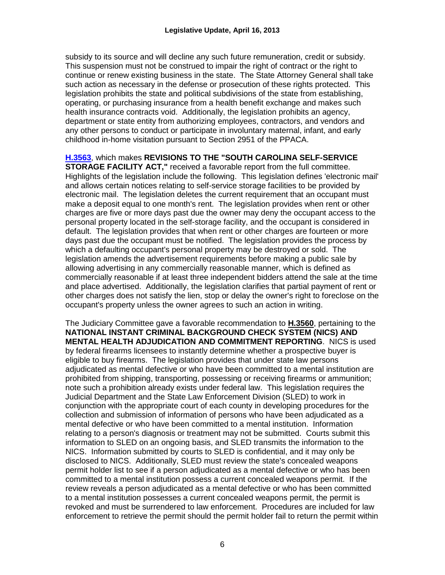subsidy to its source and will decline any such future remuneration, credit or subsidy. This suspension must not be construed to impair the right of contract or the right to continue or renew existing business in the state. The State Attorney General shall take such action as necessary in the defense or prosecution of these rights protected. This legislation prohibits the state and political subdivisions of the state from establishing, operating, or purchasing insurance from a health benefit exchange and makes such health insurance contracts void. Additionally, the legislation prohibits an agency, department or state entity from authorizing employees, contractors, and vendors and any other persons to conduct or participate in involuntary maternal, infant, and early childhood in-home visitation pursuant to Section 2951 of the PPACA.

**[H.3563](http://www.scstatehouse.gov/billsearch.php?billnumbers=3563&session=120&summary=B)**, which makes **REVISIONS TO THE "SOUTH CAROLINA SELF-SERVICE** 

**STORAGE FACILITY ACT,"** received a favorable report from the full committee. Highlights of the legislation include the following. This legislation defines 'electronic mail' and allows certain notices relating to self-service storage facilities to be provided by electronic mail. The legislation deletes the current requirement that an occupant must make a deposit equal to one month's rent. The legislation provides when rent or other charges are five or more days past due the owner may deny the occupant access to the personal property located in the self-storage facility, and the occupant is considered in default. The legislation provides that when rent or other charges are fourteen or more days past due the occupant must be notified. The legislation provides the process by which a defaulting occupant's personal property may be destroyed or sold. The legislation amends the advertisement requirements before making a public sale by allowing advertising in any commercially reasonable manner, which is defined as commercially reasonable if at least three independent bidders attend the sale at the time and place advertised. Additionally, the legislation clarifies that partial payment of rent or other charges does not satisfy the lien, stop or delay the owner's right to foreclose on the occupant's property unless the owner agrees to such an action in writing.

The Judiciary Committee gave a favorable recommendation to **H.3560**, pertaining to the **NATIONAL INSTANT CRIMINAL BACKGROUND CHECK SYSTEM (NICS) AND MENTAL HEALTH ADJUDICATION AND COMMITMENT REPORTING**. NICS is used by federal firearms licensees to instantly determine whether a prospective buyer is eligible to buy firearms. The legislation provides that under state law persons adjudicated as mental defective or who have been committed to a mental institution are prohibited from shipping, transporting, possessing or receiving firearms or ammunition; note such a prohibition already exists under federal law. This legislation requires the Judicial Department and the State Law Enforcement Division (SLED) to work in conjunction with the appropriate court of each county in developing procedures for the collection and submission of information of persons who have been adjudicated as a mental defective or who have been committed to a mental institution. Information relating to a person's diagnosis or treatment may not be submitted. Courts submit this information to SLED on an ongoing basis, and SLED transmits the information to the NICS. Information submitted by courts to SLED is confidential, and it may only be disclosed to NICS. Additionally, SLED must review the state's concealed weapons permit holder list to see if a person adjudicated as a mental defective or who has been committed to a mental institution possess a current concealed weapons permit. If the review reveals a person adjudicated as a mental defective or who has been committed to a mental institution possesses a current concealed weapons permit, the permit is revoked and must be surrendered to law enforcement. Procedures are included for law enforcement to retrieve the permit should the permit holder fail to return the permit within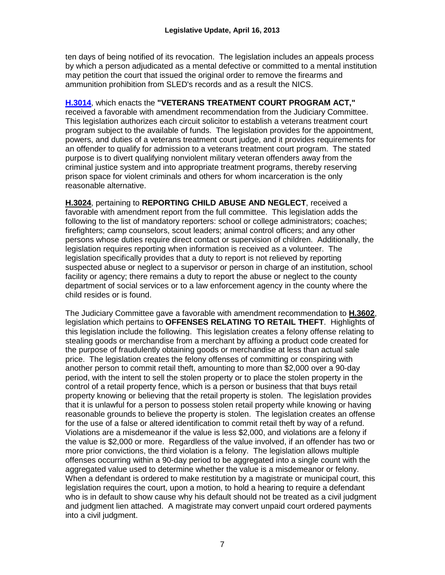ten days of being notified of its revocation. The legislation includes an appeals process by which a person adjudicated as a mental defective or committed to a mental institution may petition the court that issued the original order to remove the firearms and ammunition prohibition from SLED's records and as a result the NICS.

#### **[H.3014](http://www.scstatehouse.gov/billsearch.php?billnumbers=3014&session=120&summary=B)**, which enacts the **"VETERANS TREATMENT COURT PROGRAM ACT,"**

received a favorable with amendment recommendation from the Judiciary Committee. This legislation authorizes each circuit solicitor to establish a veterans treatment court program subject to the available of funds. The legislation provides for the appointment, powers, and duties of a veterans treatment court judge, and it provides requirements for an offender to qualify for admission to a veterans treatment court program. The stated purpose is to divert qualifying nonviolent military veteran offenders away from the criminal justice system and into appropriate treatment programs, thereby reserving prison space for violent criminals and others for whom incarceration is the only reasonable alternative.

**H.3024**, pertaining to **REPORTING CHILD ABUSE AND NEGLECT**, received a favorable with amendment report from the full committee. This legislation adds the following to the list of mandatory reporters: school or college administrators; coaches; firefighters; camp counselors, scout leaders; animal control officers; and any other persons whose duties require direct contact or supervision of children. Additionally, the legislation requires reporting when information is received as a volunteer. The legislation specifically provides that a duty to report is not relieved by reporting suspected abuse or neglect to a supervisor or person in charge of an institution, school facility or agency; there remains a duty to report the abuse or neglect to the county department of social services or to a law enforcement agency in the county where the child resides or is found.

The Judiciary Committee gave a favorable with amendment recommendation to **H.3602**, legislation which pertains to **OFFENSES RELATING TO RETAIL THEFT**. Highlights of this legislation include the following. This legislation creates a felony offense relating to stealing goods or merchandise from a merchant by affixing a product code created for the purpose of fraudulently obtaining goods or merchandise at less than actual sale price. The legislation creates the felony offenses of committing or conspiring with another person to commit retail theft, amounting to more than \$2,000 over a 90-day period, with the intent to sell the stolen property or to place the stolen property in the control of a retail property fence, which is a person or business that that buys retail property knowing or believing that the retail property is stolen. The legislation provides that it is unlawful for a person to possess stolen retail property while knowing or having reasonable grounds to believe the property is stolen. The legislation creates an offense for the use of a false or altered identification to commit retail theft by way of a refund. Violations are a misdemeanor if the value is less \$2,000, and violations are a felony if the value is \$2,000 or more. Regardless of the value involved, if an offender has two or more prior convictions, the third violation is a felony. The legislation allows multiple offenses occurring within a 90-day period to be aggregated into a single count with the aggregated value used to determine whether the value is a misdemeanor or felony. When a defendant is ordered to make restitution by a magistrate or municipal court, this legislation requires the court, upon a motion, to hold a hearing to require a defendant who is in default to show cause why his default should not be treated as a civil judgment and judgment lien attached. A magistrate may convert unpaid court ordered payments into a civil judgment.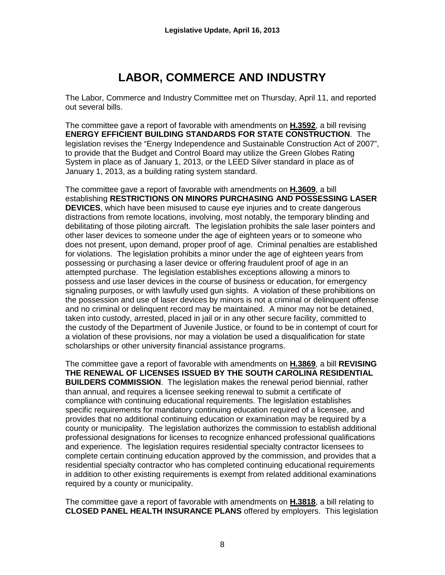# **LABOR, COMMERCE AND INDUSTRY**

The Labor, Commerce and Industry Committee met on Thursday, April 11, and reported out several bills.

The committee gave a report of favorable with amendments on **H.3592**, a bill revising **ENERGY EFFICIENT BUILDING STANDARDS FOR STATE CONSTRUCTION**. The legislation revises the "Energy Independence and Sustainable Construction Act of 2007", to provide that the Budget and Control Board may utilize the Green Globes Rating System in place as of January 1, 2013, or the LEED Silver standard in place as of January 1, 2013, as a building rating system standard.

The committee gave a report of favorable with amendments on **H.3609**, a bill establishing **RESTRICTIONS ON MINORS PURCHASING AND POSSESSING LASER DEVICES**, which have been misused to cause eye injuries and to create dangerous distractions from remote locations, involving, most notably, the temporary blinding and debilitating of those piloting aircraft. The legislation prohibits the sale laser pointers and other laser devices to someone under the age of eighteen years or to someone who does not present, upon demand, proper proof of age. Criminal penalties are established for violations. The legislation prohibits a minor under the age of eighteen years from possessing or purchasing a laser device or offering fraudulent proof of age in an attempted purchase. The legislation establishes exceptions allowing a minors to possess and use laser devices in the course of business or education, for emergency signaling purposes, or with lawfully used gun sights. A violation of these prohibitions on the possession and use of laser devices by minors is not a criminal or delinquent offense and no criminal or delinquent record may be maintained. A minor may not be detained, taken into custody, arrested, placed in jail or in any other secure facility, committed to the custody of the Department of Juvenile Justice, or found to be in contempt of court for a violation of these provisions, nor may a violation be used a disqualification for state scholarships or other university financial assistance programs.

The committee gave a report of favorable with amendments on **H.3869**, a bill **REVISING THE RENEWAL OF LICENSES ISSUED BY THE SOUTH CAROLINA RESIDENTIAL BUILDERS COMMISSION**. The legislation makes the renewal period biennial, rather than annual, and requires a licensee seeking renewal to submit a certificate of compliance with continuing educational requirements. The legislation establishes specific requirements for mandatory continuing education required of a licensee, and provides that no additional continuing education or examination may be required by a county or municipality. The legislation authorizes the commission to establish additional professional designations for licenses to recognize enhanced professional qualifications and experience. The legislation requires residential specialty contractor licensees to complete certain continuing education approved by the commission, and provides that a residential specialty contractor who has completed continuing educational requirements in addition to other existing requirements is exempt from related additional examinations required by a county or municipality.

The committee gave a report of favorable with amendments on **H.3818**, a bill relating to **CLOSED PANEL HEALTH INSURANCE PLANS** offered by employers. This legislation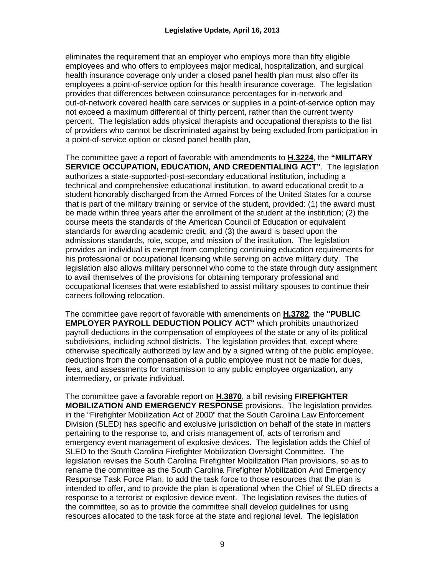eliminates the requirement that an employer who employs more than fifty eligible employees and who offers to employees major medical, hospitalization, and surgical health insurance coverage only under a closed panel health plan must also offer its employees a point-of-service option for this health insurance coverage. The legislation provides that differences between coinsurance percentages for in-network and out-of-network covered health care services or supplies in a point-of-service option may not exceed a maximum differential of thirty percent, rather than the current twenty percent. The legislation adds physical therapists and occupational therapists to the list of providers who cannot be discriminated against by being excluded from participation in a point-of-service option or closed panel health plan,

The committee gave a report of favorable with amendments to **H.3224**, the **"MILITARY SERVICE OCCUPATION, EDUCATION, AND CREDENTIALING ACT"**. The legislation authorizes a state-supported-post-secondary educational institution, including a technical and comprehensive educational institution, to award educational credit to a student honorably discharged from the Armed Forces of the United States for a course that is part of the military training or service of the student, provided: (1) the award must be made within three years after the enrollment of the student at the institution; (2) the course meets the standards of the American Council of Education or equivalent standards for awarding academic credit; and (3) the award is based upon the admissions standards, role, scope, and mission of the institution. The legislation provides an individual is exempt from completing continuing education requirements for his professional or occupational licensing while serving on active military duty. The legislation also allows military personnel who come to the state through duty assignment to avail themselves of the provisions for obtaining temporary professional and occupational licenses that were established to assist military spouses to continue their careers following relocation.

The committee gave report of favorable with amendments on **H.3782**, the **"PUBLIC EMPLOYER PAYROLL DEDUCTION POLICY ACT"** which prohibits unauthorized payroll deductions in the compensation of employees of the state or any of its political subdivisions, including school districts. The legislation provides that, except where otherwise specifically authorized by law and by a signed writing of the public employee, deductions from the compensation of a public employee must not be made for dues, fees, and assessments for transmission to any public employee organization, any intermediary, or private individual.

The committee gave a favorable report on **H.3870**, a bill revising **FIREFIGHTER MOBILIZATION AND EMERGENCY RESPONSE** provisions. The legislation provides in the "Firefighter Mobilization Act of 2000" that the South Carolina Law Enforcement Division (SLED) has specific and exclusive jurisdiction on behalf of the state in matters pertaining to the response to, and crisis management of, acts of terrorism and emergency event management of explosive devices. The legislation adds the Chief of SLED to the South Carolina Firefighter Mobilization Oversight Committee. The legislation revises the South Carolina Firefighter Mobilization Plan provisions, so as to rename the committee as the South Carolina Firefighter Mobilization And Emergency Response Task Force Plan, to add the task force to those resources that the plan is intended to offer, and to provide the plan is operational when the Chief of SLED directs a response to a terrorist or explosive device event. The legislation revises the duties of the committee, so as to provide the committee shall develop guidelines for using resources allocated to the task force at the state and regional level. The legislation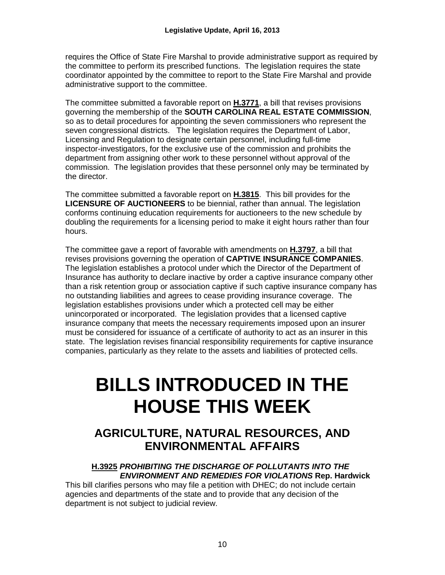requires the Office of State Fire Marshal to provide administrative support as required by the committee to perform its prescribed functions. The legislation requires the state coordinator appointed by the committee to report to the State Fire Marshal and provide administrative support to the committee.

The committee submitted a favorable report on **H.3771**, a bill that revises provisions governing the membership of the **SOUTH CAROLINA REAL ESTATE COMMISSION**, so as to detail procedures for appointing the seven commissioners who represent the seven congressional districts. The legislation requires the Department of Labor, Licensing and Regulation to designate certain personnel, including full-time inspector-investigators, for the exclusive use of the commission and prohibits the department from assigning other work to these personnel without approval of the commission. The legislation provides that these personnel only may be terminated by the director.

The committee submitted a favorable report on **H.3815**. This bill provides for the **LICENSURE OF AUCTIONEERS** to be biennial, rather than annual. The legislation conforms continuing education requirements for auctioneers to the new schedule by doubling the requirements for a licensing period to make it eight hours rather than four hours.

The committee gave a report of favorable with amendments on **H.3797**, a bill that revises provisions governing the operation of **CAPTIVE INSURANCE COMPANIES**. The legislation establishes a protocol under which the Director of the Department of Insurance has authority to declare inactive by order a captive insurance company other than a risk retention group or association captive if such captive insurance company has no outstanding liabilities and agrees to cease providing insurance coverage. The legislation establishes provisions under which a protected cell may be either unincorporated or incorporated. The legislation provides that a licensed captive insurance company that meets the necessary requirements imposed upon an insurer must be considered for issuance of a certificate of authority to act as an insurer in this state. The legislation revises financial responsibility requirements for captive insurance companies, particularly as they relate to the assets and liabilities of protected cells.

# **BILLS INTRODUCED IN THE HOUSE THIS WEEK**

### **AGRICULTURE, NATURAL RESOURCES, AND ENVIRONMENTAL AFFAIRS**

**H.3925** *PROHIBITING THE DISCHARGE OF POLLUTANTS INTO THE ENVIRONMENT AND REMEDIES FOR VIOLATIONS* **Rep. Hardwick**

This bill clarifies persons who may file a petition with DHEC; do not include certain agencies and departments of the state and to provide that any decision of the department is not subject to judicial review.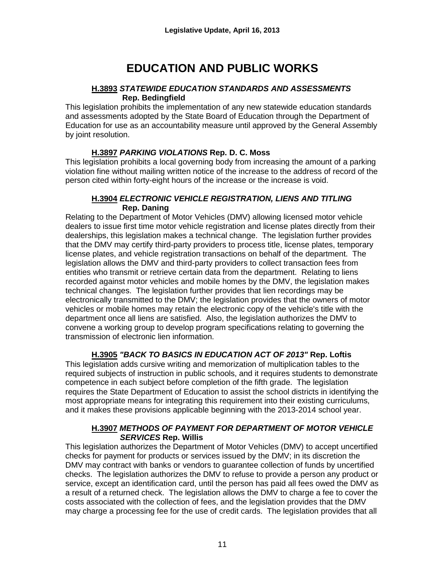# **EDUCATION AND PUBLIC WORKS**

#### **H.3893** *STATEWIDE EDUCATION STANDARDS AND ASSESSMENTS*  **Rep. Bedingfield**

This legislation prohibits the implementation of any new statewide education standards and assessments adopted by the State Board of Education through the Department of Education for use as an accountability measure until approved by the General Assembly by joint resolution.

### **H.3897** *PARKING VIOLATIONS* **Rep. D. C. Moss**

This legislation prohibits a local governing body from increasing the amount of a parking violation fine without mailing written notice of the increase to the address of record of the person cited within forty-eight hours of the increase or the increase is void.

#### **H.3904** *ELECTRONIC VEHICLE REGISTRATION, LIENS AND TITLING*  **Rep. Daning**

Relating to the Department of Motor Vehicles (DMV) allowing licensed motor vehicle dealers to issue first time motor vehicle registration and license plates directly from their dealerships, this legislation makes a technical change. The legislation further provides that the DMV may certify third-party providers to process title, license plates, temporary license plates, and vehicle registration transactions on behalf of the department. The legislation allows the DMV and third-party providers to collect transaction fees from entities who transmit or retrieve certain data from the department. Relating to liens recorded against motor vehicles and mobile homes by the DMV, the legislation makes technical changes. The legislation further provides that lien recordings may be electronically transmitted to the DMV; the legislation provides that the owners of motor vehicles or mobile homes may retain the electronic copy of the vehicle's title with the department once all liens are satisfied. Also, the legislation authorizes the DMV to convene a working group to develop program specifications relating to governing the transmission of electronic lien information.

### **H.3905** *"BACK TO BASICS IN EDUCATION ACT OF 2013"* **Rep. Loftis**

This legislation adds cursive writing and memorization of multiplication tables to the required subjects of instruction in public schools, and it requires students to demonstrate competence in each subject before completion of the fifth grade. The legislation requires the State Department of Education to assist the school districts in identifying the most appropriate means for integrating this requirement into their existing curriculums, and it makes these provisions applicable beginning with the 2013-2014 school year.

#### **H.3907** *METHODS OF PAYMENT FOR DEPARTMENT OF MOTOR VEHICLE SERVICES* **Rep. Willis**

This legislation authorizes the Department of Motor Vehicles (DMV) to accept uncertified checks for payment for products or services issued by the DMV; in its discretion the DMV may contract with banks or vendors to guarantee collection of funds by uncertified checks. The legislation authorizes the DMV to refuse to provide a person any product or service, except an identification card, until the person has paid all fees owed the DMV as a result of a returned check. The legislation allows the DMV to charge a fee to cover the costs associated with the collection of fees, and the legislation provides that the DMV may charge a processing fee for the use of credit cards. The legislation provides that all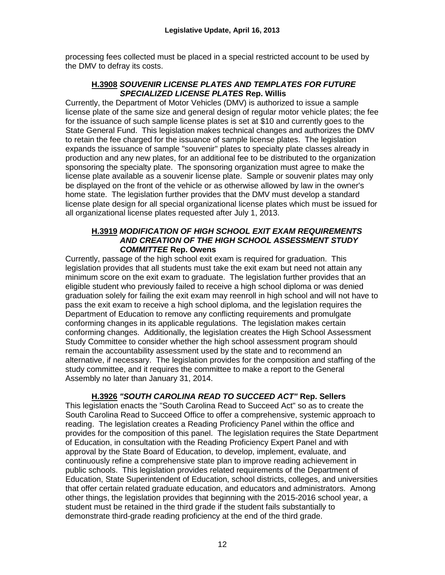processing fees collected must be placed in a special restricted account to be used by the DMV to defray its costs.

#### **H.3908** *SOUVENIR LICENSE PLATES AND TEMPLATES FOR FUTURE SPECIALIZED LICENSE PLATES* **Rep. Willis**

Currently, the Department of Motor Vehicles (DMV) is authorized to issue a sample license plate of the same size and general design of regular motor vehicle plates; the fee for the issuance of such sample license plates is set at \$10 and currently goes to the State General Fund. This legislation makes technical changes and authorizes the DMV to retain the fee charged for the issuance of sample license plates. The legislation expands the issuance of sample "souvenir" plates to specialty plate classes already in production and any new plates, for an additional fee to be distributed to the organization sponsoring the specialty plate. The sponsoring organization must agree to make the license plate available as a souvenir license plate. Sample or souvenir plates may only be displayed on the front of the vehicle or as otherwise allowed by law in the owner's home state. The legislation further provides that the DMV must develop a standard license plate design for all special organizational license plates which must be issued for all organizational license plates requested after July 1, 2013.

#### **H.3919** *MODIFICATION OF HIGH SCHOOL EXIT EXAM REQUIREMENTS AND CREATION OF THE HIGH SCHOOL ASSESSMENT STUDY COMMITTEE* **Rep. Owens**

Currently, passage of the high school exit exam is required for graduation. This legislation provides that all students must take the exit exam but need not attain any minimum score on the exit exam to graduate. The legislation further provides that an eligible student who previously failed to receive a high school diploma or was denied graduation solely for failing the exit exam may reenroll in high school and will not have to pass the exit exam to receive a high school diploma, and the legislation requires the Department of Education to remove any conflicting requirements and promulgate conforming changes in its applicable regulations. The legislation makes certain conforming changes. Additionally, the legislation creates the High School Assessment Study Committee to consider whether the high school assessment program should remain the accountability assessment used by the state and to recommend an alternative, if necessary. The legislation provides for the composition and staffing of the study committee, and it requires the committee to make a report to the General Assembly no later than January 31, 2014.

#### **H.3926** *"SOUTH CAROLINA READ TO SUCCEED ACT"* **Rep. Sellers**

This legislation enacts the "South Carolina Read to Succeed Act" so as to create the South Carolina Read to Succeed Office to offer a comprehensive, systemic approach to reading. The legislation creates a Reading Proficiency Panel within the office and provides for the composition of this panel. The legislation requires the State Department of Education, in consultation with the Reading Proficiency Expert Panel and with approval by the State Board of Education, to develop, implement, evaluate, and continuously refine a comprehensive state plan to improve reading achievement in public schools. This legislation provides related requirements of the Department of Education, State Superintendent of Education, school districts, colleges, and universities that offer certain related graduate education, and educators and administrators. Among other things, the legislation provides that beginning with the 2015-2016 school year, a student must be retained in the third grade if the student fails substantially to demonstrate third-grade reading proficiency at the end of the third grade.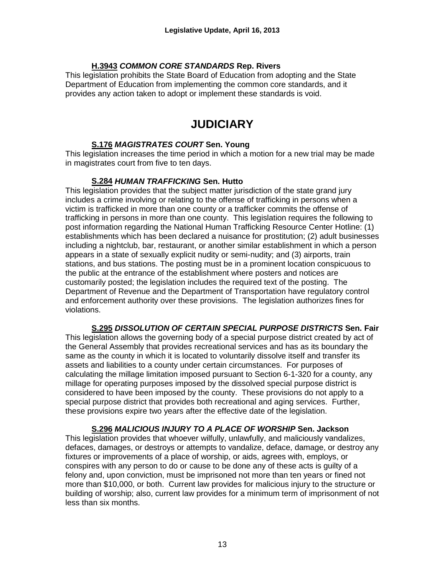#### **H.3943** *COMMON CORE STANDARDS* **Rep. Rivers**

This legislation prohibits the State Board of Education from adopting and the State Department of Education from implementing the common core standards, and it provides any action taken to adopt or implement these standards is void.

## **JUDICIARY**

#### **S.176** *MAGISTRATES COURT* **Sen. Young**

This legislation increases the time period in which a motion for a new trial may be made in magistrates court from five to ten days.

#### **S.284** *HUMAN TRAFFICKING* **Sen. Hutto**

This legislation provides that the subject matter jurisdiction of the state grand jury includes a crime involving or relating to the offense of trafficking in persons when a victim is trafficked in more than one county or a trafficker commits the offense of trafficking in persons in more than one county. This legislation requires the following to post information regarding the National Human Trafficking Resource Center Hotline: (1) establishments which has been declared a nuisance for prostitution; (2) adult businesses including a nightclub, bar, restaurant, or another similar establishment in which a person appears in a state of sexually explicit nudity or semi-nudity; and (3) airports, train stations, and bus stations. The posting must be in a prominent location conspicuous to the public at the entrance of the establishment where posters and notices are customarily posted; the legislation includes the required text of the posting. The Department of Revenue and the Department of Transportation have regulatory control and enforcement authority over these provisions. The legislation authorizes fines for violations.

**S.295** *DISSOLUTION OF CERTAIN SPECIAL PURPOSE DISTRICTS* **Sen. Fair** This legislation allows the governing body of a special purpose district created by act of the General Assembly that provides recreational services and has as its boundary the same as the county in which it is located to voluntarily dissolve itself and transfer its assets and liabilities to a county under certain circumstances. For purposes of calculating the millage limitation imposed pursuant to Section 6-1-320 for a county, any millage for operating purposes imposed by the dissolved special purpose district is considered to have been imposed by the county. These provisions do not apply to a special purpose district that provides both recreational and aging services. Further, these provisions expire two years after the effective date of the legislation.

**S.296** *MALICIOUS INJURY TO A PLACE OF WORSHIP* **Sen. Jackson** This legislation provides that whoever wilfully, unlawfully, and maliciously vandalizes, defaces, damages, or destroys or attempts to vandalize, deface, damage, or destroy any fixtures or improvements of a place of worship, or aids, agrees with, employs, or conspires with any person to do or cause to be done any of these acts is guilty of a felony and, upon conviction, must be imprisoned not more than ten years or fined not more than \$10,000, or both. Current law provides for malicious injury to the structure or building of worship; also, current law provides for a minimum term of imprisonment of not less than six months.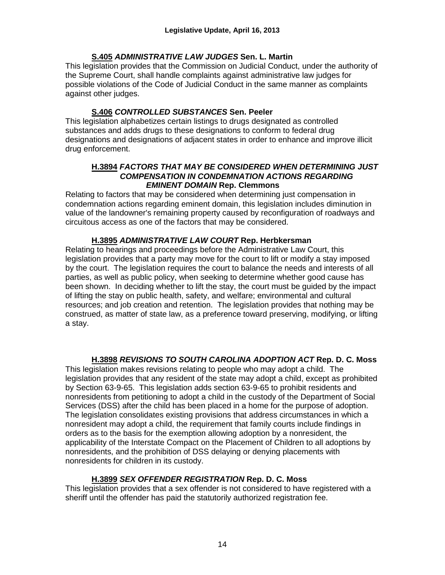#### **S.405** *ADMINISTRATIVE LAW JUDGES* **Sen. L. Martin**

This legislation provides that the Commission on Judicial Conduct, under the authority of the Supreme Court, shall handle complaints against administrative law judges for possible violations of the Code of Judicial Conduct in the same manner as complaints against other judges.

### **S.406** *CONTROLLED SUBSTANCES* **Sen. Peeler**

This legislation alphabetizes certain listings to drugs designated as controlled substances and adds drugs to these designations to conform to federal drug designations and designations of adjacent states in order to enhance and improve illicit drug enforcement.

#### **H.3894** *FACTORS THAT MAY BE CONSIDERED WHEN DETERMINING JUST COMPENSATION IN CONDEMNATION ACTIONS REGARDING EMINENT DOMAIN* **Rep. Clemmons**

Relating to factors that may be considered when determining just compensation in condemnation actions regarding eminent domain, this legislation includes diminution in value of the landowner's remaining property caused by reconfiguration of roadways and circuitous access as one of the factors that may be considered.

#### **H.3895** *ADMINISTRATIVE LAW COURT* **Rep. Herbkersman**

Relating to hearings and proceedings before the Administrative Law Court, this legislation provides that a party may move for the court to lift or modify a stay imposed by the court. The legislation requires the court to balance the needs and interests of all parties, as well as public policy, when seeking to determine whether good cause has been shown. In deciding whether to lift the stay, the court must be guided by the impact of lifting the stay on public health, safety, and welfare; environmental and cultural resources; and job creation and retention. The legislation provides that nothing may be construed, as matter of state law, as a preference toward preserving, modifying, or lifting a stay.

#### **H.3898** *REVISIONS TO SOUTH CAROLINA ADOPTION ACT* **Rep. D. C. Moss**

This legislation makes revisions relating to people who may adopt a child. The legislation provides that any resident of the state may adopt a child, except as prohibited by Section [63-9-65.](http://www.scstatehouse.gov/code/t63c009.php#63-9-65) This legislation adds section [63-9-65](http://www.scstatehouse.gov/code/t63c009.php#63-9-65) to prohibit residents and nonresidents from petitioning to adopt a child in the custody of the Department of Social Services (DSS) after the child has been placed in a home for the purpose of adoption. The legislation consolidates existing provisions that address circumstances in which a nonresident may adopt a child, the requirement that family courts include findings in orders as to the basis for the exemption allowing adoption by a nonresident, the applicability of the Interstate Compact on the Placement of Children to all adoptions by nonresidents, and the prohibition of DSS delaying or denying placements with nonresidents for children in its custody.

#### **H.3899** *SEX OFFENDER REGISTRATION* **Rep. D. C. Moss**

This legislation provides that a sex offender is not considered to have registered with a sheriff until the offender has paid the statutorily authorized registration fee.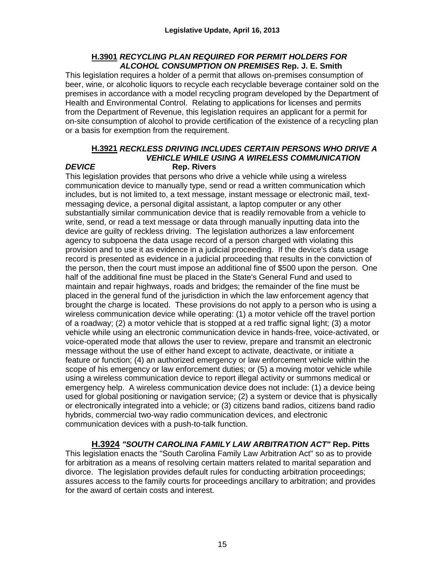#### **H.3901** *RECYCLING PLAN REQUIRED FOR PERMIT HOLDERS FOR ALCOHOL CONSUMPTION ON PREMISES* **Rep. J. E. Smith**

This legislation requires a holder of a permit that allows on-premises consumption of beer, wine, or alcoholic liquors to recycle each recyclable beverage container sold on the premises in accordance with a model recycling program developed by the Department of Health and Environmental Control. Relating to applications for licenses and permits from the Department of Revenue, this legislation requires an applicant for a permit for on-site consumption of alcohol to provide certification of the existence of a recycling plan or a basis for exemption from the requirement.

#### **H.3921** *RECKLESS DRIVING INCLUDES CERTAIN PERSONS WHO DRIVE A VEHICLE WHILE USING A WIRELESS COMMUNICATION DEVICE* **Rep. Rivers**

This legislation provides that persons who drive a vehicle while using a wireless communication device to manually type, send or read a written communication which includes, but is not limited to, a text message, instant message or electronic mail, textmessaging device, a personal digital assistant, a laptop computer or any other substantially similar communication device that is readily removable from a vehicle to write, send, or read a text message or data through manually inputting data into the device are guilty of reckless driving. The legislation authorizes a law enforcement agency to subpoena the data usage record of a person charged with violating this provision and to use it as evidence in a judicial proceeding. If the device's data usage record is presented as evidence in a judicial proceeding that results in the conviction of the person, then the court must impose an additional fine of \$500 upon the person. One half of the additional fine must be placed in the State's General Fund and used to maintain and repair highways, roads and bridges; the remainder of the fine must be placed in the general fund of the jurisdiction in which the law enforcement agency that brought the charge is located. These provisions do not apply to a person who is using a wireless communication device while operating: (1) a motor vehicle off the travel portion of a roadway; (2) a motor vehicle that is stopped at a red traffic signal light; (3) a motor vehicle while using an electronic communication device in hands-free, voice-activated, or voice-operated mode that allows the user to review, prepare and transmit an electronic message without the use of either hand except to activate, deactivate, or initiate a feature or function; (4) an authorized emergency or law enforcement vehicle within the scope of his emergency or law enforcement duties; or (5) a moving motor vehicle while using a wireless communication device to report illegal activity or summons medical or emergency help. A wireless communication device does not include: (1) a device being used for global positioning or navigation service; (2) a system or device that is physically or electronically integrated into a vehicle; or (3) citizens band radios, citizens band radio hybrids, commercial two-way radio communication devices, and electronic communication devices with a push-to-talk function.

**H.3924** *"SOUTH CAROLINA FAMILY LAW ARBITRATION ACT"* **Rep. Pitts** This legislation enacts the "South Carolina Family Law Arbitration Act" so as to provide for arbitration as a means of resolving certain matters related to marital separation and divorce. The legislation provides default rules for conducting arbitration proceedings; assures access to the family courts for proceedings ancillary to arbitration; and provides for the award of certain costs and interest.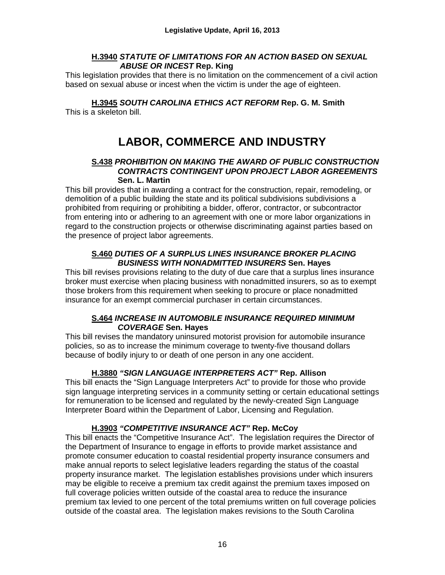#### **H.3940** *STATUTE OF LIMITATIONS FOR AN ACTION BASED ON SEXUAL ABUSE OR INCEST* **Rep. King**

This legislation provides that there is no limitation on the commencement of a civil action based on sexual abuse or incest when the victim is under the age of eighteen.

**H.3945** *SOUTH CAROLINA ETHICS ACT REFORM* **Rep. G. M. Smith**

This is a skeleton bill.

# **LABOR, COMMERCE AND INDUSTRY**

#### **S.438** *PROHIBITION ON MAKING THE AWARD OF PUBLIC CONSTRUCTION CONTRACTS CONTINGENT UPON PROJECT LABOR AGREEMENTS* **Sen. L. Martin**

This bill provides that in awarding a contract for the construction, repair, remodeling, or demolition of a public building the state and its political subdivisions subdivisions a prohibited from requiring or prohibiting a bidder, offeror, contractor, or subcontractor from entering into or adhering to an agreement with one or more labor organizations in regard to the construction projects or otherwise discriminating against parties based on the presence of project labor agreements.

#### **S.460** *DUTIES OF A SURPLUS LINES INSURANCE BROKER PLACING BUSINESS WITH NONADMITTED INSURERS* **Sen. Hayes**

This bill revises provisions relating to the duty of due care that a surplus lines insurance broker must exercise when placing business with nonadmitted insurers, so as to exempt those brokers from this requirement when seeking to procure or place nonadmitted insurance for an exempt commercial purchaser in certain circumstances.

#### **S.464** *INCREASE IN AUTOMOBILE INSURANCE REQUIRED MINIMUM COVERAGE* **Sen. Hayes**

This bill revises the mandatory uninsured motorist provision for automobile insurance policies, so as to increase the minimum coverage to twenty-five thousand dollars because of bodily injury to or death of one person in any one accident.

#### **H.3880** *"SIGN LANGUAGE INTERPRETERS ACT"* **Rep. Allison**

This bill enacts the "Sign Language Interpreters Act" to provide for those who provide sign language interpreting services in a community setting or certain educational settings for remuneration to be licensed and regulated by the newly-created Sign Language Interpreter Board within the Department of Labor, Licensing and Regulation.

#### **H.3903** *"COMPETITIVE INSURANCE ACT"* **Rep. McCoy**

This bill enacts the "Competitive Insurance Act". The legislation requires the Director of the Department of Insurance to engage in efforts to provide market assistance and promote consumer education to coastal residential property insurance consumers and make annual reports to select legislative leaders regarding the status of the coastal property insurance market. The legislation establishes provisions under which insurers may be eligible to receive a premium tax credit against the premium taxes imposed on full coverage policies written outside of the coastal area to reduce the insurance premium tax levied to one percent of the total premiums written on full coverage policies outside of the coastal area. The legislation makes revisions to the South Carolina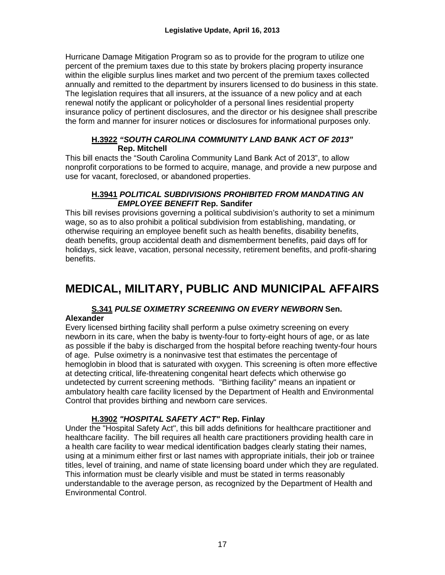Hurricane Damage Mitigation Program so as to provide for the program to utilize one percent of the premium taxes due to this state by brokers placing property insurance within the eligible surplus lines market and two percent of the premium taxes collected annually and remitted to the department by insurers licensed to do business in this state. The legislation requires that all insurers, at the issuance of a new policy and at each renewal notify the applicant or policyholder of a personal lines residential property insurance policy of pertinent disclosures, and the director or his designee shall prescribe the form and manner for insurer notices or disclosures for informational purposes only.

#### **H.3922** *"SOUTH CAROLINA COMMUNITY LAND BANK ACT OF 2013"* **Rep. Mitchell**

This bill enacts the "South Carolina Community Land Bank Act of 2013", to allow nonprofit corporations to be formed to acquire, manage, and provide a new purpose and use for vacant, foreclosed, or abandoned properties.

#### **H.3941** *POLITICAL SUBDIVISIONS PROHIBITED FROM MANDATING AN EMPLOYEE BENEFIT* **Rep. Sandifer**

This bill revises provisions governing a political subdivision's authority to set a minimum wage, so as to also prohibit a political subdivision from establishing, mandating, or otherwise requiring an employee benefit such as health benefits, disability benefits, death benefits, group accidental death and dismemberment benefits, paid days off for holidays, sick leave, vacation, personal necessity, retirement benefits, and profit-sharing benefits.

# **MEDICAL, MILITARY, PUBLIC AND MUNICIPAL AFFAIRS**

# **S.341** *PULSE OXIMETRY SCREENING ON EVERY NEWBORN* **Sen.**

#### **Alexander**

Every licensed birthing facility shall perform a pulse oximetry screening on every newborn in its care, when the baby is twenty-four to forty-eight hours of age, or as late as possible if the baby is discharged from the hospital before reaching twenty-four hours of age. Pulse oximetry is a noninvasive test that estimates the percentage of hemoglobin in blood that is saturated with oxygen. This screening is often more effective at detecting critical, life-threatening congenital heart defects which otherwise go undetected by current screening methods. "Birthing facility" means an inpatient or ambulatory health care facility licensed by the Department of Health and Environmental Control that provides birthing and newborn care services.

#### **H.3902** *"HOSPITAL SAFETY ACT"* **Rep. Finlay**

Under the "Hospital Safety Act", this bill adds definitions for healthcare practitioner and healthcare facility. The bill requires all health care practitioners providing health care in a health care facility to wear medical identification badges clearly stating their names, using at a minimum either first or last names with appropriate initials, their job or trainee titles, level of training, and name of state licensing board under which they are regulated. This information must be clearly visible and must be stated in terms reasonably understandable to the average person, as recognized by the Department of Health and Environmental Control.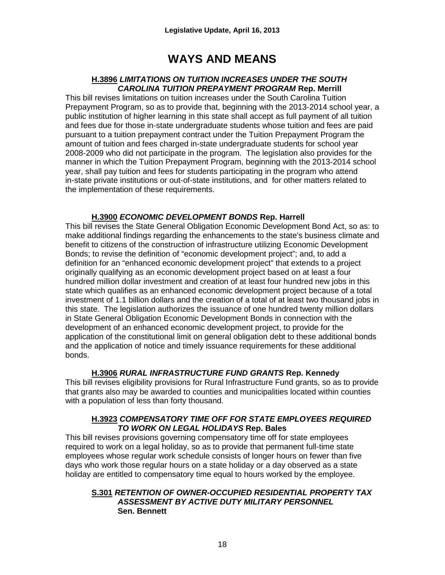## **WAYS AND MEANS**

#### **H.3896** *LIMITATIONS ON TUITION INCREASES UNDER THE SOUTH CAROLINA TUITION PREPAYMENT PROGRAM* **Rep. Merrill**

This bill revises limitations on tuition increases under the South Carolina Tuition Prepayment Program, so as to provide that, beginning with the 2013-2014 school year, a public institution of higher learning in this state shall accept as full payment of all tuition and fees due for those in-state undergraduate students whose tuition and fees are paid pursuant to a tuition prepayment contract under the Tuition Prepayment Program the amount of tuition and fees charged in-state undergraduate students for school year 2008-2009 who did not participate in the program. The legislation also provides for the manner in which the Tuition Prepayment Program, beginning with the 2013-2014 school year, shall pay tuition and fees for students participating in the program who attend in-state private institutions or out-of-state institutions, and for other matters related to the implementation of these requirements.

#### **H.3900** *ECONOMIC DEVELOPMENT BONDS* **Rep. Harrell**

This bill revises the State General Obligation Economic Development Bond Act, so as: to make additional findings regarding the enhancements to the state's business climate and benefit to citizens of the construction of infrastructure utilizing Economic Development Bonds; to revise the definition of "economic development project"; and, to add a definition for an "enhanced economic development project" that extends to a project originally qualifying as an economic development project based on at least a four hundred million dollar investment and creation of at least four hundred new jobs in this state which qualifies as an enhanced economic development project because of a total investment of 1.1 billion dollars and the creation of a total of at least two thousand jobs in this state. The legislation authorizes the issuance of one hundred twenty million dollars in State General Obligation Economic Development Bonds in connection with the development of an enhanced economic development project, to provide for the application of the constitutional limit on general obligation debt to these additional bonds and the application of notice and timely issuance requirements for these additional bonds.

#### **H.3906** *RURAL INFRASTRUCTURE FUND GRANTS* **Rep. Kennedy**

This bill revises eligibility provisions for Rural Infrastructure Fund grants, so as to provide that grants also may be awarded to counties and municipalities located within counties with a population of less than forty thousand.

#### **H.3923** *COMPENSATORY TIME OFF FOR STATE EMPLOYEES REQUIRED TO WORK ON LEGAL HOLIDAYS* **Rep. Bales**

This bill revises provisions governing compensatory time off for state employees required to work on a legal holiday, so as to provide that permanent full-time state employees whose regular work schedule consists of longer hours on fewer than five days who work those regular hours on a state holiday or a day observed as a state holiday are entitled to compensatory time equal to hours worked by the employee.

#### **S.301** *RETENTION OF OWNER-OCCUPIED RESIDENTIAL PROPERTY TAX ASSESSMENT BY ACTIVE DUTY MILITARY PERSONNEL* **Sen. Bennett**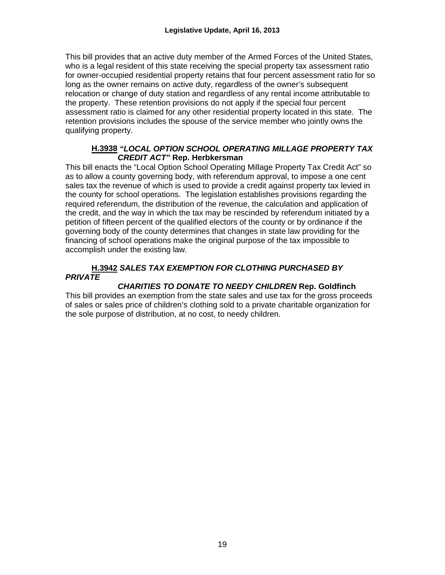This bill provides that an active duty member of the Armed Forces of the United States, who is a legal resident of this state receiving the special property tax assessment ratio for owner-occupied residential property retains that four percent assessment ratio for so long as the owner remains on active duty, regardless of the owner's subsequent relocation or change of duty station and regardless of any rental income attributable to the property. These retention provisions do not apply if the special four percent assessment ratio is claimed for any other residential property located in this state. The retention provisions includes the spouse of the service member who jointly owns the qualifying property.

#### **H.3938** *"LOCAL OPTION SCHOOL OPERATING MILLAGE PROPERTY TAX CREDIT ACT"* **Rep. Herbkersman**

This bill enacts the "Local Option School Operating Millage Property Tax Credit Act" so as to allow a county governing body, with referendum approval, to impose a one cent sales tax the revenue of which is used to provide a credit against property tax levied in the county for school operations. The legislation establishes provisions regarding the required referendum, the distribution of the revenue, the calculation and application of the credit, and the way in which the tax may be rescinded by referendum initiated by a petition of fifteen percent of the qualified electors of the county or by ordinance if the governing body of the county determines that changes in state law providing for the financing of school operations make the original purpose of the tax impossible to accomplish under the existing law.

#### **H.3942** *SALES TAX EXEMPTION FOR CLOTHING PURCHASED BY PRIVATE*

#### *CHARITIES TO DONATE TO NEEDY CHILDREN* **Rep. Goldfinch**

This bill provides an exemption from the state sales and use tax for the gross proceeds of sales or sales price of children's clothing sold to a private charitable organization for the sole purpose of distribution, at no cost, to needy children.